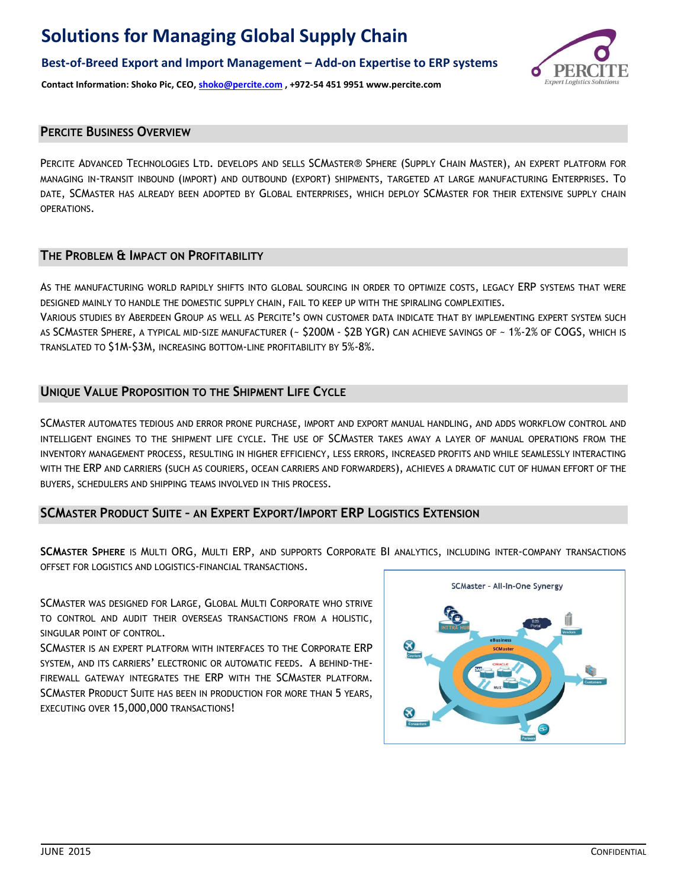**Best-of-Breed Export and Import Management – Add-on Expertise to ERP systems**



**Contact Information: Shoko Pic, CEO, shoko@percite.com , +972-54 451 9951 www.percite.com**

## **PERCITE BUSINESS OVERVIEW**

PERCITE ADVANCED TECHNOLOGIES LTD. DEVELOPS AND SELLS SCMASTER® SPHERE (SUPPLY CHAIN MASTER), AN EXPERT PLATFORM FOR MANAGING IN-TRANSIT INBOUND (IMPORT) AND OUTBOUND (EXPORT) SHIPMENTS, TARGETED AT LARGE MANUFACTURING ENTERPRISES. TO DATE, SCMASTER HAS ALREADY BEEN ADOPTED BY GLOBAL ENTERPRISES, WHICH DEPLOY SCMASTER FOR THEIR EXTENSIVE SUPPLY CHAIN OPERATIONS.

## **THE PROBLEM & IMPACT ON PROFITABILITY**

AS THE MANUFACTURING WORLD RAPIDLY SHIFTS INTO GLOBAL SOURCING IN ORDER TO OPTIMIZE COSTS, LEGACY ERP SYSTEMS THAT WERE DESIGNED MAINLY TO HANDLE THE DOMESTIC SUPPLY CHAIN, FAIL TO KEEP UP WITH THE SPIRALING COMPLEXITIES.

VARIOUS STUDIES BY ABERDEEN GROUP AS WELL AS PERCITE'S OWN CUSTOMER DATA INDICATE THAT BY IMPLEMENTING EXPERT SYSTEM SUCH AS SCMASTER SPHERE, A TYPICAL MID-SIZE MANUFACTURER (~ \$200M - \$2B YGR) CAN ACHIEVE SAVINGS OF ~ 1%-2% OF COGS, WHICH IS TRANSLATED TO \$1M-\$3M, INCREASING BOTTOM-LINE PROFITABILITY BY 5%-8%.

## **UNIQUE VALUE PROPOSITION TO THE SHIPMENT LIFE CYCLE**

SCMASTER AUTOMATES TEDIOUS AND ERROR PRONE PURCHASE, IMPORT AND EXPORT MANUAL HANDLING, AND ADDS WORKFLOW CONTROL AND INTELLIGENT ENGINES TO THE SHIPMENT LIFE CYCLE. THE USE OF SCMASTER TAKES AWAY A LAYER OF MANUAL OPERATIONS FROM THE INVENTORY MANAGEMENT PROCESS, RESULTING IN HIGHER EFFICIENCY, LESS ERRORS, INCREASED PROFITS AND WHILE SEAMLESSLY INTERACTING WITH THE ERP AND CARRIERS (SUCH AS COURIERS, OCEAN CARRIERS AND FORWARDERS), ACHIEVES A DRAMATIC CUT OF HUMAN EFFORT OF THE BUYERS, SCHEDULERS AND SHIPPING TEAMS INVOLVED IN THIS PROCESS.

## **SCMASTER PRODUCT SUITE – AN EXPERT EXPORT/IMPORT ERP LOGISTICS EXTENSION**

**SCMASTER SPHERE** IS MULTI ORG, MULTI ERP, AND SUPPORTS CORPORATE BI ANALYTICS, INCLUDING INTER-COMPANY TRANSACTIONS OFFSET FOR LOGISTICS AND LOGISTICS-FINANCIAL TRANSACTIONS.

SCMASTER WAS DESIGNED FOR LARGE, GLOBAL MULTI CORPORATE WHO STRIVE TO CONTROL AND AUDIT THEIR OVERSEAS TRANSACTIONS FROM A HOLISTIC, SINGULAR POINT OF CONTROL.

SCMASTER IS AN EXPERT PLATFORM WITH INTERFACES TO THE CORPORATE ERP SYSTEM, AND ITS CARRIERS' ELECTRONIC OR AUTOMATIC FEEDS. A BEHIND-THE-FIREWALL GATEWAY INTEGRATES THE ERP WITH THE SCMASTER PLATFORM. SCMASTER PRODUCT SUITE HAS BEEN IN PRODUCTION FOR MORE THAN 5 YEARS, EXECUTING OVER 15,000,000 TRANSACTIONS!

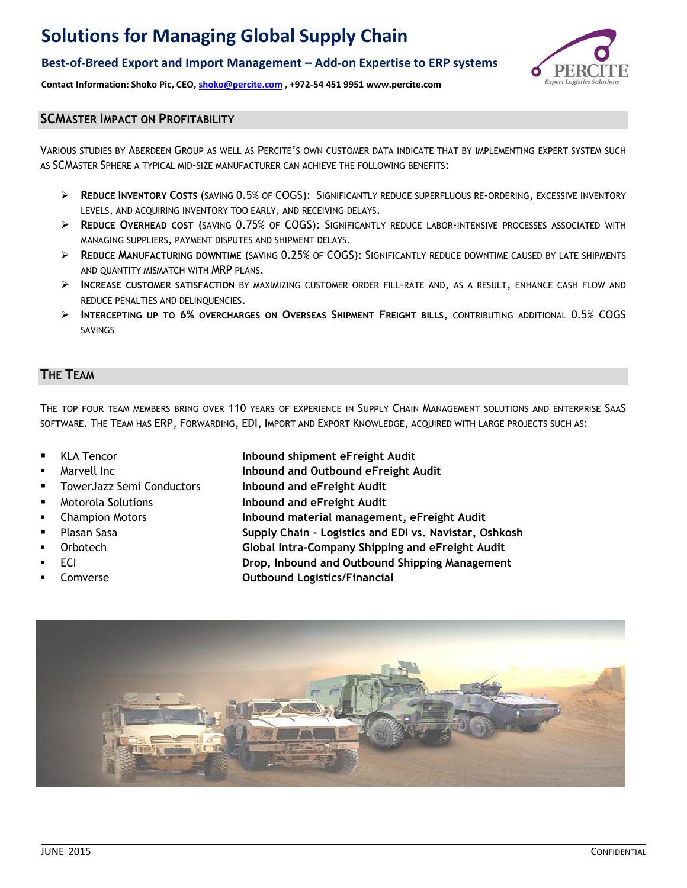## **Best-of-Breed Export and Import Management – Add-on Expertise to ERP systems**



**Contact Information: Shoko Pic, CEO, shoko@percite.com , +972-54 451 9951 www.percite.com**

## **SCMASTER IMPACT ON PROFITABILITY**

VARIOUS STUDIES BY ABERDEEN GROUP AS WELL AS PERCITE'S OWN CUSTOMER DATA INDICATE THAT BY IMPLEMENTING EXPERT SYSTEM SUCH AS SCMASTER SPHERE A TYPICAL MID-SIZE MANUFACTURER CAN ACHIEVE THE FOLLOWING BENEFITS:

- **REDUCE INVENTORY COSTS** (SAVING 0.5% OF COGS): SIGNIFICANTLY REDUCE SUPERFLUOUS RE-ORDERING, EXCESSIVE INVENTORY LEVELS, AND ACQUIRING INVENTORY TOO EARLY, AND RECEIVING DELAYS.
- **REDUCE OVERHEAD COST** (SAVING 0.75% OF COGS): SIGNIFICANTLY REDUCE LABOR-INTENSIVE PROCESSES ASSOCIATED WITH MANAGING SUPPLIERS, PAYMENT DISPUTES AND SHIPMENT DELAYS.
- **REDUCE MANUFACTURING DOWNTIME** (SAVING 0.25% OF COGS): SIGNIFICANTLY REDUCE DOWNTIME CAUSED BY LATE SHIPMENTS AND QUANTITY MISMATCH WITH MRP PLANS.
- **INCREASE CUSTOMER SATISFACTION** BY MAXIMIZING CUSTOMER ORDER FILL-RATE AND, AS A RESULT, ENHANCE CASH FLOW AND REDUCE PENALTIES AND DELINQUENCIES.
- **INTERCEPTING UP TO 6% OVERCHARGES ON OVERSEAS SHIPMENT FREIGHT BILLS**, CONTRIBUTING ADDITIONAL 0.5% COGS SAVINGS

### **THE TEAM**

THE TOP FOUR TEAM MEMBERS BRING OVER 110 YEARS OF EXPERIENCE IN SUPPLY CHAIN MANAGEMENT SOLUTIONS AND ENTERPRISE SAAS SOFTWARE. THE TEAM HAS ERP, FORWARDING, EDI, IMPORT AND EXPORT KNOWLEDGE, ACQUIRED WITH LARGE PROJECTS SUCH AS:

- 
- 
- 
- 
- 
- 
- 
- 
- 
- KLA Tencor **Inbound shipment eFreight Audit**
	- Marvell Inc **Inbound and Outbound eFreight Audit**
	- TowerJazz Semi Conductors **Inbound and eFreight Audit**
- Motorola Solutions **Inbound and eFreight Audit**
- Champion Motors **Inbound material management, eFreight Audit**
	- Plasan Sasa **Supply Chain – Logistics and EDI vs. Navistar, Oshkosh**
	- Orbotech **Global Intra-Company Shipping and eFreight Audit**
	- ECI **Drop, Inbound and Outbound Shipping Management**
	- Comverse **Outbound Logistics/Financial**

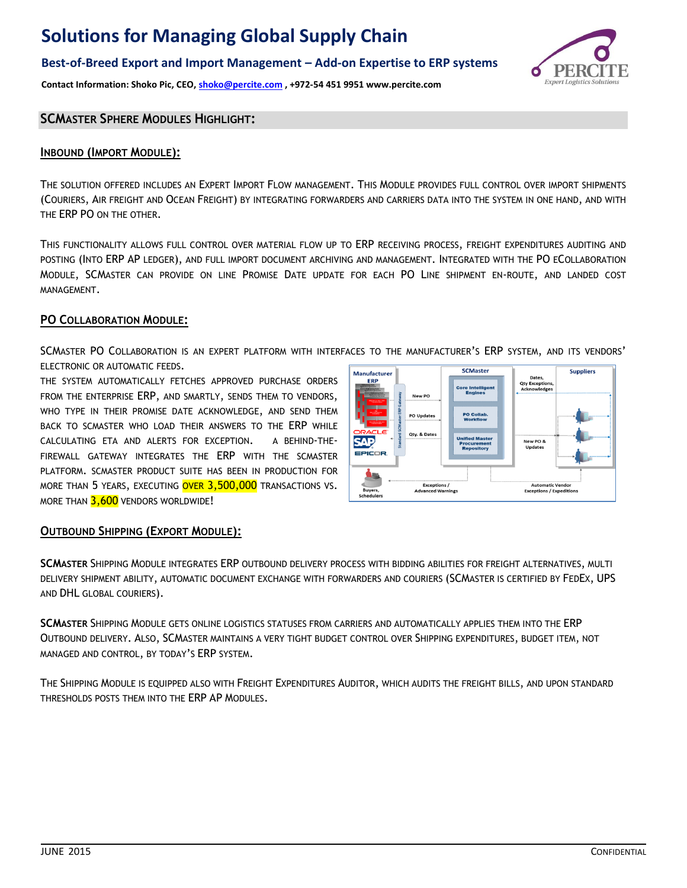## **Best-of-Breed Export and Import Management – Add-on Expertise to ERP systems**

**Contact Information: Shoko Pic, CEO, shoko@percite.com , +972-54 451 9951 www.percite.com**



#### **SCMASTER SPHERE MODULES HIGHLIGHT:**

#### **INBOUND (IMPORT MODULE):**

THE SOLUTION OFFERED INCLUDES AN EXPERT IMPORT FLOW MANAGEMENT. THIS MODULE PROVIDES FULL CONTROL OVER IMPORT SHIPMENTS (COURIERS, AIR FREIGHT AND OCEAN FREIGHT) BY INTEGRATING FORWARDERS AND CARRIERS DATA INTO THE SYSTEM IN ONE HAND, AND WITH THE ERP PO ON THE OTHER.

THIS FUNCTIONALITY ALLOWS FULL CONTROL OVER MATERIAL FLOW UP TO ERP RECEIVING PROCESS, FREIGHT EXPENDITURES AUDITING AND POSTING (INTO ERP AP LEDGER), AND FULL IMPORT DOCUMENT ARCHIVING AND MANAGEMENT. INTEGRATED WITH THE PO ECOLLABORATION MODULE, SCMASTER CAN PROVIDE ON LINE PROMISE DATE UPDATE FOR EACH PO LINE SHIPMENT EN-ROUTE, AND LANDED COST MANAGEMENT.

### **PO COLLABORATION MODULE:**

SCMASTER PO COLLABORATION IS AN EXPERT PLATFORM WITH INTERFACES TO THE MANUFACTURER'S ERP SYSTEM, AND ITS VENDORS' ELECTRONIC OR AUTOMATIC FEEDS.

THE SYSTEM AUTOMATICALLY FETCHES APPROVED PURCHASE ORDERS FROM THE ENTERPRISE ERP, AND SMARTLY, SENDS THEM TO VENDORS, WHO TYPE IN THEIR PROMISE DATE ACKNOWLEDGE, AND SEND THEM BACK TO SCMASTER WHO LOAD THEIR ANSWERS TO THE ERP WHILE CALCULATING ETA AND ALERTS FOR EXCEPTION. A BEHIND-THE-FIREWALL GATEWAY INTEGRATES THE ERP WITH THE SCMASTER PLATFORM. SCMASTER PRODUCT SUITE HAS BEEN IN PRODUCTION FOR MORE THAN 5 YEARS, EXECUTING OVER 3,500,000 TRANSACTIONS VS. MORE THAN 3,600 VENDORS WORLDWIDE!



#### **OUTBOUND SHIPPING (EXPORT MODULE):**

**SCMASTER** SHIPPING MODULE INTEGRATES ERP OUTBOUND DELIVERY PROCESS WITH BIDDING ABILITIES FOR FREIGHT ALTERNATIVES, MULTI DELIVERY SHIPMENT ABILITY, AUTOMATIC DOCUMENT EXCHANGE WITH FORWARDERS AND COURIERS (SCMASTER IS CERTIFIED BY FEDEX, UPS AND DHL GLOBAL COURIERS).

**SCMASTER** SHIPPING MODULE GETS ONLINE LOGISTICS STATUSES FROM CARRIERS AND AUTOMATICALLY APPLIES THEM INTO THE ERP OUTBOUND DELIVERY. ALSO, SCMASTER MAINTAINS A VERY TIGHT BUDGET CONTROL OVER SHIPPING EXPENDITURES, BUDGET ITEM, NOT MANAGED AND CONTROL, BY TODAY'S ERP SYSTEM.

THE SHIPPING MODULE IS EQUIPPED ALSO WITH FREIGHT EXPENDITURES AUDITOR, WHICH AUDITS THE FREIGHT BILLS, AND UPON STANDARD THRESHOLDS POSTS THEM INTO THE ERP AP MODULES.